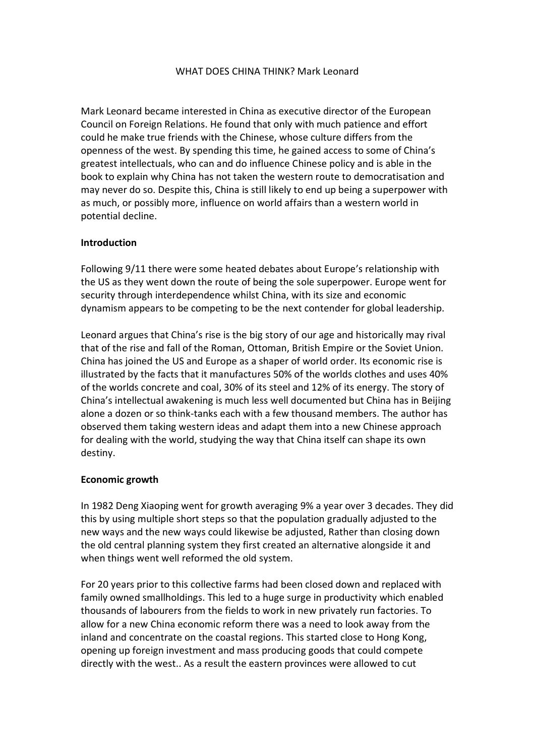### WHAT DOES CHINA THINK? Mark Leonard

Mark Leonard became interested in China as executive director of the European Council on Foreign Relations. He found that only with much patience and effort could he make true friends with the Chinese, whose culture differs from the openness of the west. By spending this time, he gained access to some of China's greatest intellectuals, who can and do influence Chinese policy and is able in the book to explain why China has not taken the western route to democratisation and may never do so. Despite this, China is still likely to end up being a superpower with as much, or possibly more, influence on world affairs than a western world in potential decline.

### **Introduction**

Following 9/11 there were some heated debates about Europe's relationship with the US as they went down the route of being the sole superpower. Europe went for security through interdependence whilst China, with its size and economic dynamism appears to be competing to be the next contender for global leadership.

Leonard argues that China's rise is the big story of our age and historically may rival that of the rise and fall of the Roman, Ottoman, British Empire or the Soviet Union. China has joined the US and Europe as a shaper of world order. Its economic rise is illustrated by the facts that it manufactures 50% of the worlds clothes and uses 40% of the worlds concrete and coal, 30% of its steel and 12% of its energy. The story of China's intellectual awakening is much less well documented but China has in Beijing alone a dozen or so think-tanks each with a few thousand members. The author has observed them taking western ideas and adapt them into a new Chinese approach for dealing with the world, studying the way that China itself can shape its own destiny.

### **Economic growth**

In 1982 Deng Xiaoping went for growth averaging 9% a year over 3 decades. They did this by using multiple short steps so that the population gradually adjusted to the new ways and the new ways could likewise be adjusted, Rather than closing down the old central planning system they first created an alternative alongside it and when things went well reformed the old system.

For 20 years prior to this collective farms had been closed down and replaced with family owned smallholdings. This led to a huge surge in productivity which enabled thousands of labourers from the fields to work in new privately run factories. To allow for a new China economic reform there was a need to look away from the inland and concentrate on the coastal regions. This started close to Hong Kong, opening up foreign investment and mass producing goods that could compete directly with the west.. As a result the eastern provinces were allowed to cut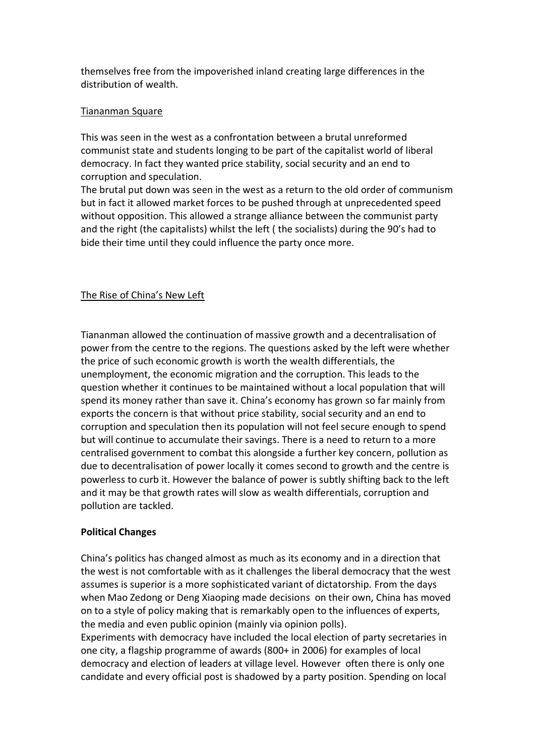themselves free from the impoverished inland creating large differences in the distribution of wealth.

### Tiananman Square

This was seen in the west as a confrontation between a brutal unreformed communist state and students longing to be part of the capitalist world of liberal democracy. In fact they wanted price stability, social security and an end to corruption and speculation.

The brutal put down was seen in the west as a return to the old order of communism but in fact it allowed market forces to be pushed through at unprecedented speed without opposition. This allowed a strange alliance between the communist party and the right (the capitalists) whilst the left ( the socialists) during the 90's had to bide their time until they could influence the party once more.

# The Rise of China's New Left

Tiananman allowed the continuation of massive growth and a decentralisation of power from the centre to the regions. The questions asked by the left were whether the price of such economic growth is worth the wealth differentials, the unemployment, the economic migration and the corruption. This leads to the question whether it continues to be maintained without a local population that will spend its money rather than save it. China's economy has grown so far mainly from exports the concern is that without price stability, social security and an end to corruption and speculation then its population will not feel secure enough to spend but will continue to accumulate their savings. There is a need to return to a more centralised government to combat this alongside a further key concern, pollution as due to decentralisation of power locally it comes second to growth and the centre is powerless to curb it. However the balance of power is subtly shifting back to the left and it may be that growth rates will slow as wealth differentials, corruption and pollution are tackled.

# **Political Changes**

China's politics has changed almost as much as its economy and in a direction that the west is not comfortable with as it challenges the liberal democracy that the west assumes is superior is a more sophisticated variant of dictatorship. From the days when Mao Zedong or Deng Xiaoping made decisions on their own, China has moved on to a style of policy making that is remarkably open to the influences of experts, the media and even public opinion (mainly via opinion polls).

Experiments with democracy have included the local election of party secretaries in one city, a flagship programme of awards (800+ in 2006) for examples of local democracy and election of leaders at village level. However often there is only one candidate and every official post is shadowed by a party position. Spending on local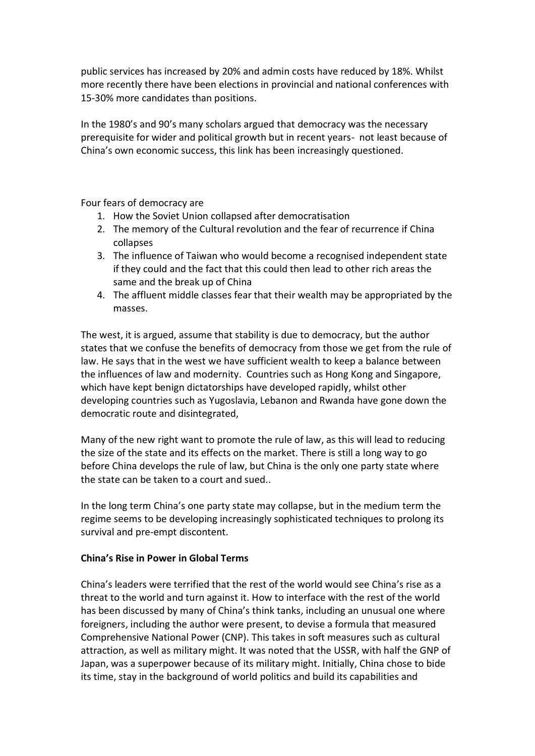public services has increased by 20% and admin costs have reduced by 18%. Whilst more recently there have been elections in provincial and national conferences with 15-30% more candidates than positions.

In the 1980's and 90's many scholars argued that democracy was the necessary prerequisite for wider and political growth but in recent years- not least because of China's own economic success, this link has been increasingly questioned.

Four fears of democracy are

- 1. How the Soviet Union collapsed after democratisation
- 2. The memory of the Cultural revolution and the fear of recurrence if China collapses
- 3. The influence of Taiwan who would become a recognised independent state if they could and the fact that this could then lead to other rich areas the same and the break up of China
- 4. The affluent middle classes fear that their wealth may be appropriated by the masses.

The west, it is argued, assume that stability is due to democracy, but the author states that we confuse the benefits of democracy from those we get from the rule of law. He says that in the west we have sufficient wealth to keep a balance between the influences of law and modernity. Countries such as Hong Kong and Singapore, which have kept benign dictatorships have developed rapidly, whilst other developing countries such as Yugoslavia, Lebanon and Rwanda have gone down the democratic route and disintegrated,

Many of the new right want to promote the rule of law, as this will lead to reducing the size of the state and its effects on the market. There is still a long way to go before China develops the rule of law, but China is the only one party state where the state can be taken to a court and sued..

In the long term China's one party state may collapse, but in the medium term the regime seems to be developing increasingly sophisticated techniques to prolong its survival and pre-empt discontent.

### **China's Rise in Power in Global Terms**

China's leaders were terrified that the rest of the world would see China's rise as a threat to the world and turn against it. How to interface with the rest of the world has been discussed by many of China's think tanks, including an unusual one where foreigners, including the author were present, to devise a formula that measured Comprehensive National Power (CNP). This takes in soft measures such as cultural attraction, as well as military might. It was noted that the USSR, with half the GNP of Japan, was a superpower because of its military might. Initially, China chose to bide its time, stay in the background of world politics and build its capabilities and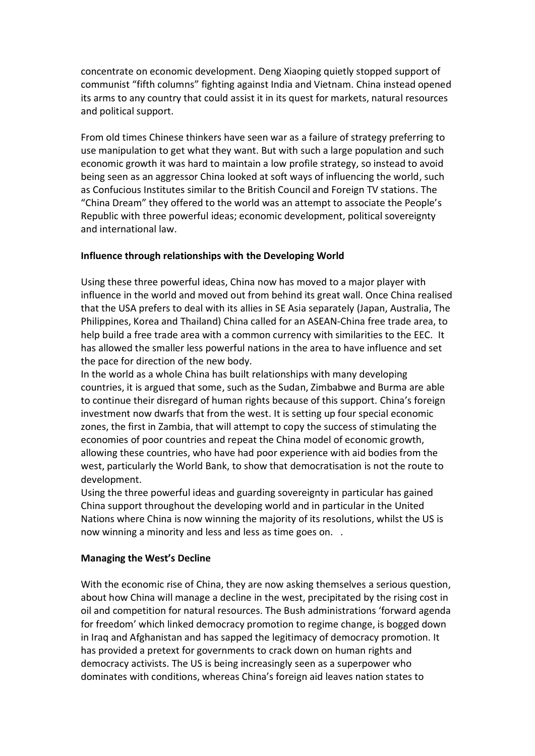concentrate on economic development. Deng Xiaoping quietly stopped support of communist "fifth columns" fighting against India and Vietnam. China instead opened its arms to any country that could assist it in its quest for markets, natural resources and political support.

From old times Chinese thinkers have seen war as a failure of strategy preferring to use manipulation to get what they want. But with such a large population and such economic growth it was hard to maintain a low profile strategy, so instead to avoid being seen as an aggressor China looked at soft ways of influencing the world, such as Confucious Institutes similar to the British Council and Foreign TV stations. The "China Dream" they offered to the world was an attempt to associate the People's Republic with three powerful ideas; economic development, political sovereignty and international law.

### **Influence through relationships with the Developing World**

Using these three powerful ideas, China now has moved to a major player with influence in the world and moved out from behind its great wall. Once China realised that the USA prefers to deal with its allies in SE Asia separately (Japan, Australia, The Philippines, Korea and Thailand) China called for an ASEAN-China free trade area, to help build a free trade area with a common currency with similarities to the EEC. It has allowed the smaller less powerful nations in the area to have influence and set the pace for direction of the new body.

In the world as a whole China has built relationships with many developing countries, it is argued that some, such as the Sudan, Zimbabwe and Burma are able to continue their disregard of human rights because of this support. China's foreign investment now dwarfs that from the west. It is setting up four special economic zones, the first in Zambia, that will attempt to copy the success of stimulating the economies of poor countries and repeat the China model of economic growth, allowing these countries, who have had poor experience with aid bodies from the west, particularly the World Bank, to show that democratisation is not the route to development.

Using the three powerful ideas and guarding sovereignty in particular has gained China support throughout the developing world and in particular in the United Nations where China is now winning the majority of its resolutions, whilst the US is now winning a minority and less and less as time goes on. .

### **Managing the West's Decline**

With the economic rise of China, they are now asking themselves a serious question, about how China will manage a decline in the west, precipitated by the rising cost in oil and competition for natural resources. The Bush administrations 'forward agenda for freedom' which linked democracy promotion to regime change, is bogged down in Iraq and Afghanistan and has sapped the legitimacy of democracy promotion. It has provided a pretext for governments to crack down on human rights and democracy activists. The US is being increasingly seen as a superpower who dominates with conditions, whereas China's foreign aid leaves nation states to